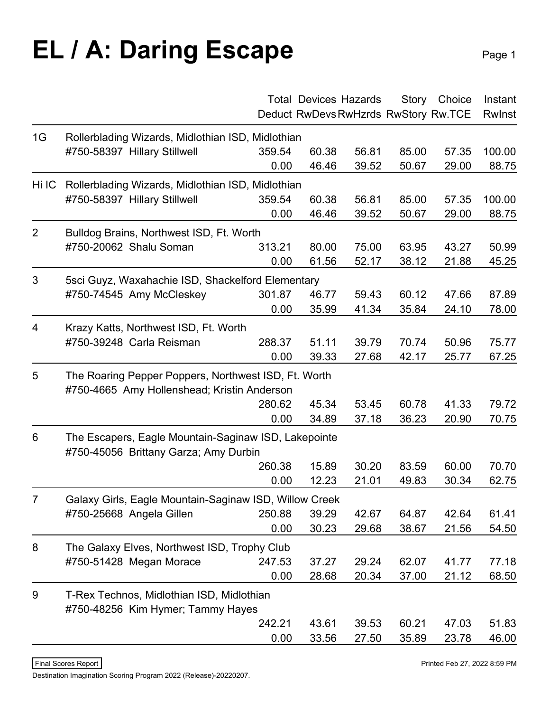## **EL / A: Daring Escape** Page 1

|                |                                                                                               |        | <b>Total Devices Hazards</b>         |       |       | Story Choice | Instant |  |
|----------------|-----------------------------------------------------------------------------------------------|--------|--------------------------------------|-------|-------|--------------|---------|--|
|                |                                                                                               |        | Deduct RwDevs RwHzrds RwStory Rw.TCE |       |       |              | Rwlnst  |  |
| 1G             | Rollerblading Wizards, Midlothian ISD, Midlothian                                             |        |                                      |       |       |              |         |  |
|                | #750-58397 Hillary Stillwell                                                                  | 359.54 | 60.38                                | 56.81 | 85.00 | 57.35        | 100.00  |  |
|                |                                                                                               | 0.00   | 46.46                                | 39.52 | 50.67 | 29.00        | 88.75   |  |
| Hi IC          | Rollerblading Wizards, Midlothian ISD, Midlothian                                             |        |                                      |       |       |              |         |  |
|                | #750-58397 Hillary Stillwell                                                                  | 359.54 | 60.38                                | 56.81 | 85.00 | 57.35        | 100.00  |  |
|                |                                                                                               | 0.00   | 46.46                                | 39.52 | 50.67 | 29.00        | 88.75   |  |
| $\overline{2}$ | Bulldog Brains, Northwest ISD, Ft. Worth                                                      |        |                                      |       |       |              |         |  |
|                | #750-20062 Shalu Soman                                                                        | 313.21 | 80.00                                | 75.00 | 63.95 | 43.27        | 50.99   |  |
|                |                                                                                               | 0.00   | 61.56                                | 52.17 | 38.12 | 21.88        | 45.25   |  |
| 3              | 5sci Guyz, Waxahachie ISD, Shackelford Elementary                                             |        |                                      |       |       |              |         |  |
|                | #750-74545 Amy McCleskey                                                                      | 301.87 | 46.77                                | 59.43 | 60.12 | 47.66        | 87.89   |  |
|                |                                                                                               | 0.00   | 35.99                                | 41.34 | 35.84 | 24.10        | 78.00   |  |
| $\overline{4}$ | Krazy Katts, Northwest ISD, Ft. Worth                                                         |        |                                      |       |       |              |         |  |
|                | #750-39248 Carla Reisman                                                                      | 288.37 | 51.11                                | 39.79 | 70.74 | 50.96        | 75.77   |  |
|                |                                                                                               | 0.00   | 39.33                                | 27.68 | 42.17 | 25.77        | 67.25   |  |
| 5              | The Roaring Pepper Poppers, Northwest ISD, Ft. Worth                                          |        |                                      |       |       |              |         |  |
|                | #750-4665 Amy Hollenshead; Kristin Anderson                                                   |        |                                      |       |       |              |         |  |
|                |                                                                                               | 280.62 | 45.34                                | 53.45 | 60.78 | 41.33        | 79.72   |  |
|                |                                                                                               | 0.00   | 34.89                                | 37.18 | 36.23 | 20.90        | 70.75   |  |
| 6              | The Escapers, Eagle Mountain-Saginaw ISD, Lakepointe<br>#750-45056 Brittany Garza; Amy Durbin |        |                                      |       |       |              |         |  |
|                |                                                                                               | 260.38 | 15.89                                | 30.20 | 83.59 | 60.00        | 70.70   |  |
|                |                                                                                               | 0.00   | 12.23                                | 21.01 | 49.83 | 30.34        | 62.75   |  |
| $\overline{7}$ | Galaxy Girls, Eagle Mountain-Saginaw ISD, Willow Creek                                        |        |                                      |       |       |              |         |  |
|                | #750-25668 Angela Gillen                                                                      | 250.88 | 39.29                                | 42.67 | 64.87 | 42.64        | 61.41   |  |
|                |                                                                                               | 0.00   | 30.23                                | 29.68 | 38.67 | 21.56        | 54.50   |  |
| 8              | The Galaxy Elves, Northwest ISD, Trophy Club                                                  |        |                                      |       |       |              |         |  |
|                | #750-51428 Megan Morace                                                                       | 247.53 | 37.27                                | 29.24 | 62.07 | 41.77        | 77.18   |  |
|                |                                                                                               | 0.00   | 28.68                                | 20.34 | 37.00 | 21.12        | 68.50   |  |
| 9              | T-Rex Technos, Midlothian ISD, Midlothian                                                     |        |                                      |       |       |              |         |  |
|                | #750-48256 Kim Hymer; Tammy Hayes                                                             |        |                                      |       |       |              |         |  |
|                |                                                                                               | 242.21 | 43.61                                | 39.53 | 60.21 | 47.03        | 51.83   |  |
|                |                                                                                               | 0.00   | 33.56                                | 27.50 | 35.89 | 23.78        | 46.00   |  |

Destination Imagination Scoring Program 2022 (Release)-20220207.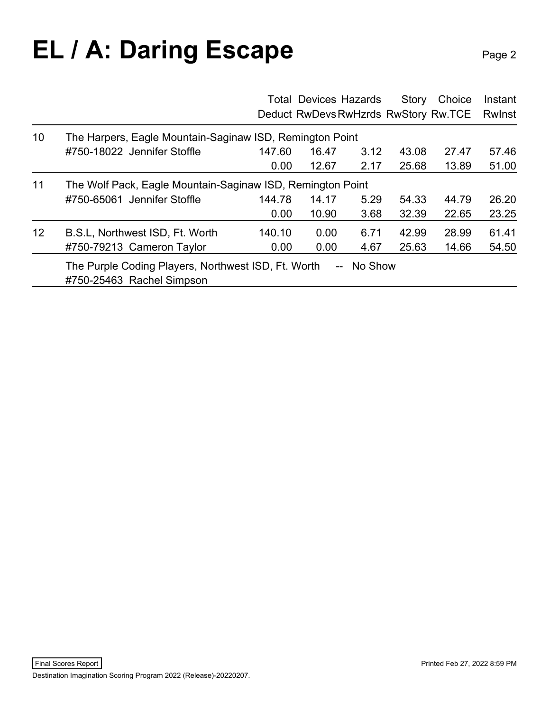## **EL / A: Daring Escape** Page 2

|                 |                                                                                  |        |       | <b>Total Devices Hazards</b> | Story | Choice<br>Deduct RwDevs RwHzrds RwStory Rw.TCE | Instant<br>Rwlnst |
|-----------------|----------------------------------------------------------------------------------|--------|-------|------------------------------|-------|------------------------------------------------|-------------------|
| 10 <sup>°</sup> | The Harpers, Eagle Mountain-Saginaw ISD, Remington Point                         |        |       |                              |       |                                                |                   |
|                 | #750-18022 Jennifer Stoffle                                                      | 147.60 | 16.47 | 3.12                         | 43.08 | 27.47                                          | 57.46             |
|                 |                                                                                  | 0.00   | 12.67 | 2.17                         | 25.68 | 13.89                                          | 51.00             |
| 11              | The Wolf Pack, Eagle Mountain-Saginaw ISD, Remington Point                       |        |       |                              |       |                                                |                   |
|                 | #750-65061 Jennifer Stoffle                                                      | 144.78 | 14.17 | 5.29                         | 54.33 | 44.79                                          | 26.20             |
|                 |                                                                                  | 0.00   | 10.90 | 3.68                         | 32.39 | 22.65                                          | 23.25             |
| 12 <sup>2</sup> | B.S.L, Northwest ISD, Ft. Worth                                                  | 140.10 | 0.00  | 6.71                         | 42.99 | 28.99                                          | 61.41             |
|                 | #750-79213 Cameron Taylor                                                        | 0.00   | 0.00  | 4.67                         | 25.63 | 14.66                                          | 54.50             |
|                 | The Purple Coding Players, Northwest ISD, Ft. Worth<br>#750-25463 Rachel Simpson |        |       | No Show<br>$\overline{a}$    |       |                                                |                   |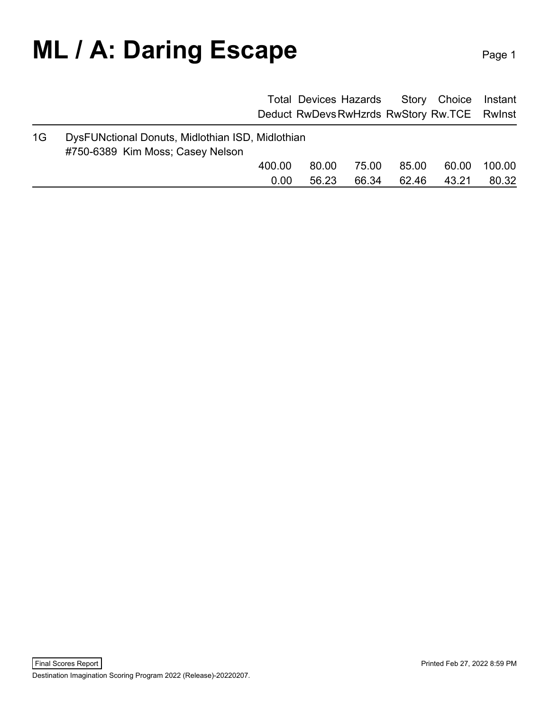### **ML / A: Daring Escape** Page 1

|    |                                                                                      |        |       | <b>Total Devices Hazards</b> | Story | Choice Instant                              |        |
|----|--------------------------------------------------------------------------------------|--------|-------|------------------------------|-------|---------------------------------------------|--------|
|    |                                                                                      |        |       |                              |       | Deduct RwDevs RwHzrds RwStory Rw.TCE RwInst |        |
| 1G | DysFUNctional Donuts, Midlothian ISD, Midlothian<br>#750-6389 Kim Moss; Casey Nelson |        |       |                              |       |                                             |        |
|    |                                                                                      | 400.00 | 80.00 | 75.00                        | 85.00 | 60.00                                       | 100.00 |
|    |                                                                                      | 0.00   | 56.23 | 66.34                        | 62.46 | 43.21                                       | 80.32  |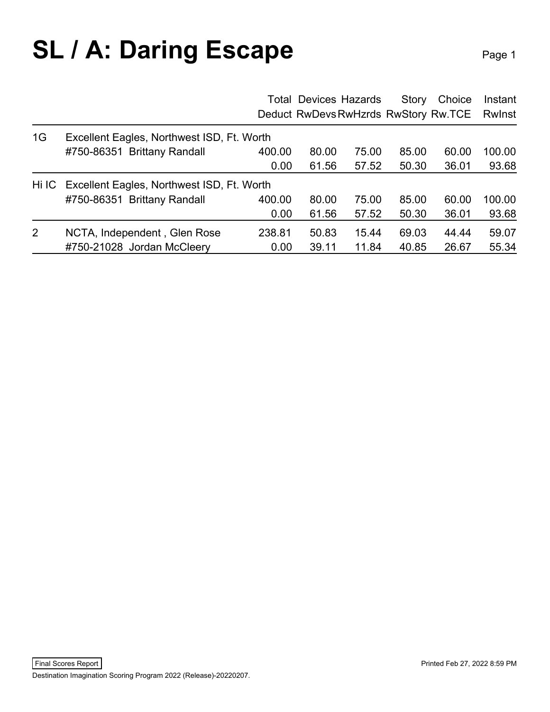## **SL / A: Daring Escape** Page 1

|    |                                                  |        | <b>Total Devices Hazards</b> |       | Story | Choice<br>Deduct RwDevs RwHzrds RwStory Rw.TCE | Instant<br>Rwlnst |
|----|--------------------------------------------------|--------|------------------------------|-------|-------|------------------------------------------------|-------------------|
| 1G | Excellent Eagles, Northwest ISD, Ft. Worth       |        |                              |       |       |                                                |                   |
|    | #750-86351 Brittany Randall                      | 400.00 | 80.00                        | 75.00 | 85.00 | 60.00                                          | 100.00            |
|    |                                                  | 0.00   | 61.56                        | 57.52 | 50.30 | 36.01                                          | 93.68             |
|    | Hi IC Excellent Eagles, Northwest ISD, Ft. Worth |        |                              |       |       |                                                |                   |
|    | #750-86351 Brittany Randall                      | 400.00 | 80.00                        | 75.00 | 85.00 | 60.00                                          | 100.00            |
|    |                                                  | 0.00   | 61.56                        | 57.52 | 50.30 | 36.01                                          | 93.68             |
| 2  | NCTA, Independent, Glen Rose                     | 238.81 | 50.83                        | 15.44 | 69.03 | 44.44                                          | 59.07             |
|    | #750-21028 Jordan McCleery                       | 0.00   | 39.11                        | 11.84 | 40.85 | 26.67                                          | 55.34             |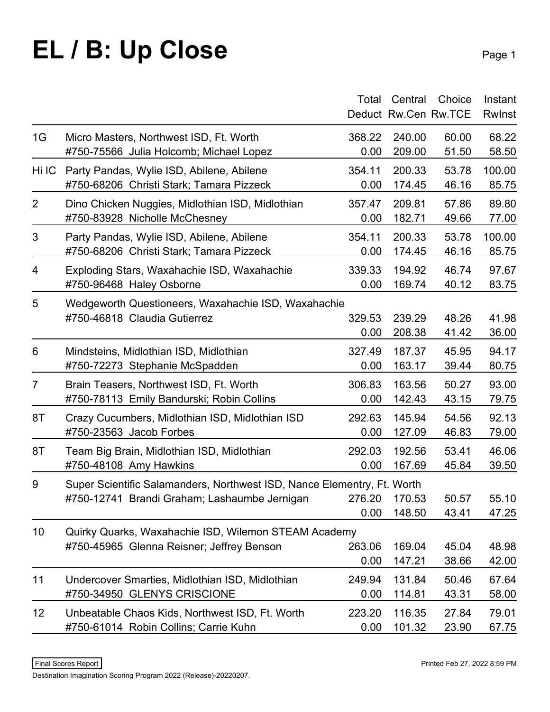## **EL / B: Up Close**

|                 |                                                                         | Total  | Central | Choice               | Instant       |
|-----------------|-------------------------------------------------------------------------|--------|---------|----------------------|---------------|
|                 |                                                                         |        |         | Deduct Rw.Cen Rw.TCE | <b>Rwinst</b> |
| 1G              | Micro Masters, Northwest ISD, Ft. Worth                                 | 368.22 | 240.00  | 60.00                | 68.22         |
|                 | #750-75566 Julia Holcomb; Michael Lopez                                 | 0.00   | 209.00  | 51.50                | 58.50         |
| Hi IC           | Party Pandas, Wylie ISD, Abilene, Abilene                               | 354.11 | 200.33  | 53.78                | 100.00        |
|                 | #750-68206 Christi Stark; Tamara Pizzeck                                | 0.00   | 174.45  | 46.16                | 85.75         |
| $\overline{2}$  | Dino Chicken Nuggies, Midlothian ISD, Midlothian                        | 357.47 | 209.81  | 57.86                | 89.80         |
|                 | #750-83928 Nicholle McChesney                                           | 0.00   | 182.71  | 49.66                | 77.00         |
| 3               | Party Pandas, Wylie ISD, Abilene, Abilene                               | 354.11 | 200.33  | 53.78                | 100.00        |
|                 | #750-68206 Christi Stark; Tamara Pizzeck                                | 0.00   | 174.45  | 46.16                | 85.75         |
| 4               | Exploding Stars, Waxahachie ISD, Waxahachie                             | 339.33 | 194.92  | 46.74                | 97.67         |
|                 | #750-96468 Haley Osborne                                                | 0.00   | 169.74  | 40.12                | 83.75         |
| 5               | Wedgeworth Questioneers, Waxahachie ISD, Waxahachie                     |        |         |                      |               |
|                 | #750-46818 Claudia Gutierrez                                            | 329.53 | 239.29  | 48.26                | 41.98         |
|                 |                                                                         | 0.00   | 208.38  | 41.42                | 36.00         |
| 6               | Mindsteins, Midlothian ISD, Midlothian                                  | 327.49 | 187.37  | 45.95                | 94.17         |
|                 | #750-72273 Stephanie McSpadden                                          | 0.00   | 163.17  | 39.44                | 80.75         |
| $\overline{7}$  | Brain Teasers, Northwest ISD, Ft. Worth                                 | 306.83 | 163.56  | 50.27                | 93.00         |
|                 | #750-78113 Emily Bandurski; Robin Collins                               | 0.00   | 142.43  | 43.15                | 79.75         |
| 8T              | Crazy Cucumbers, Midlothian ISD, Midlothian ISD                         | 292.63 | 145.94  | 54.56                | 92.13         |
|                 | #750-23563 Jacob Forbes                                                 | 0.00   | 127.09  | 46.83                | 79.00         |
| 8T              | Team Big Brain, Midlothian ISD, Midlothian                              | 292.03 | 192.56  | 53.41                | 46.06         |
|                 | #750-48108 Amy Hawkins                                                  | 0.00   | 167.69  | 45.84                | 39.50         |
| 9               | Super Scientific Salamanders, Northwest ISD, Nance Elementry, Ft. Worth |        |         |                      |               |
|                 | #750-12741 Brandi Graham; Lashaumbe Jernigan 276.20 170.53              |        |         | 50.57                | 55.10         |
|                 |                                                                         | 0.00   | 148.50  | 43.41                | 47.25         |
| 10 <sup>°</sup> | Quirky Quarks, Waxahachie ISD, Wilemon STEAM Academy                    |        |         |                      |               |
|                 | #750-45965 Glenna Reisner; Jeffrey Benson                               | 263.06 | 169.04  | 45.04                | 48.98         |
|                 |                                                                         | 0.00   | 147.21  | 38.66                | 42.00         |
| 11              | Undercover Smarties, Midlothian ISD, Midlothian                         | 249.94 | 131.84  | 50.46                | 67.64         |
|                 | #750-34950 GLENYS CRISCIONE                                             | 0.00   | 114.81  | 43.31                | 58.00         |
| 12              | Unbeatable Chaos Kids, Northwest ISD, Ft. Worth                         | 223.20 | 116.35  | 27.84                | 79.01         |
|                 | #750-61014 Robin Collins; Carrie Kuhn                                   | 0.00   | 101.32  | 23.90                | 67.75         |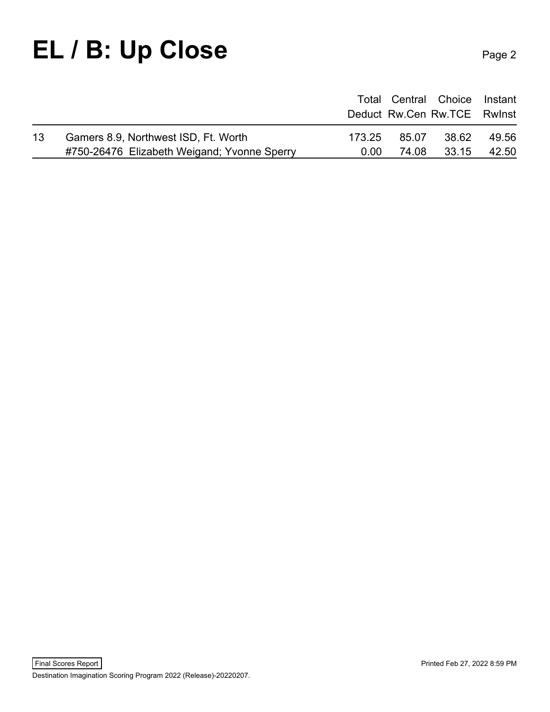#### EL / B: Up Close Page 2

|    |                                             |        |       | Total Central Choice Instant |       |
|----|---------------------------------------------|--------|-------|------------------------------|-------|
|    |                                             |        |       | Deduct Rw.Cen Rw.TCE Rwinst  |       |
| 13 | Gamers 8.9, Northwest ISD, Ft. Worth        | 173.25 | 85.07 | 38.62                        | 49.56 |
|    | #750-26476 Elizabeth Weigand; Yvonne Sperry | 0.00   | 74.08 | 33.15                        | 42.50 |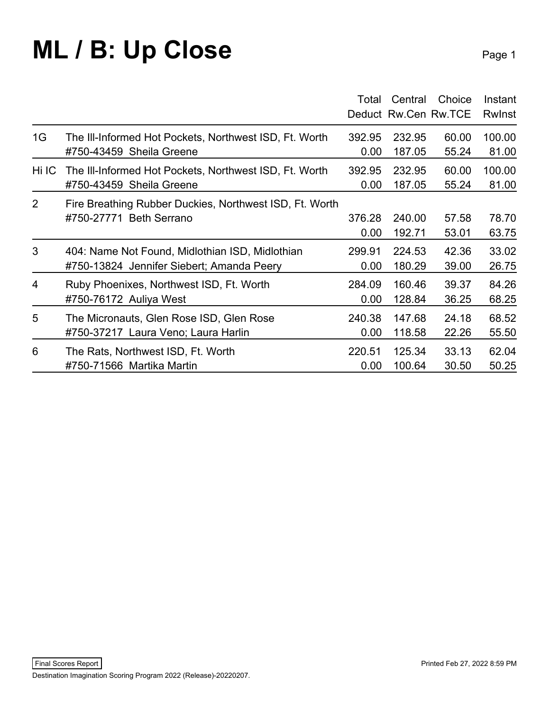#### **ML / B: Up Close** Page 1

|       |                                                         | Total  | Central | Choice<br>Deduct Rw.Cen Rw.TCE | Instant<br><b>Rwinst</b> |
|-------|---------------------------------------------------------|--------|---------|--------------------------------|--------------------------|
| 1G    | The III-Informed Hot Pockets, Northwest ISD, Ft. Worth  | 392.95 | 232.95  | 60.00                          | 100.00                   |
|       | #750-43459 Sheila Greene                                | 0.00   | 187.05  | 55.24                          | 81.00                    |
| Hi IC | The III-Informed Hot Pockets, Northwest ISD, Ft. Worth  | 392.95 | 232.95  | 60.00                          | 100.00                   |
|       | #750-43459 Sheila Greene                                | 0.00   | 187.05  | 55.24                          | 81.00                    |
| 2     | Fire Breathing Rubber Duckies, Northwest ISD, Ft. Worth | 376.28 | 240.00  | 57.58                          | 78.70                    |
|       | #750-27771 Beth Serrano                                 | 0.00   | 192.71  | 53.01                          | 63.75                    |
| 3     | 404: Name Not Found, Midlothian ISD, Midlothian         | 299.91 | 224.53  | 42.36                          | 33.02                    |
|       | #750-13824 Jennifer Siebert; Amanda Peery               | 0.00   | 180.29  | 39.00                          | 26.75                    |
| 4     | Ruby Phoenixes, Northwest ISD, Ft. Worth                | 284.09 | 160.46  | 39.37                          | 84.26                    |
|       | #750-76172 Auliya West                                  | 0.00   | 128.84  | 36.25                          | 68.25                    |
| 5     | The Micronauts, Glen Rose ISD, Glen Rose                | 240.38 | 147.68  | 24.18                          | 68.52                    |
|       | #750-37217 Laura Veno; Laura Harlin                     | 0.00   | 118.58  | 22.26                          | 55.50                    |
| 6     | The Rats, Northwest ISD, Ft. Worth                      | 220.51 | 125.34  | 33.13                          | 62.04                    |
|       | #750-71566 Martika Martin                               | 0.00   | 100.64  | 30.50                          | 50.25                    |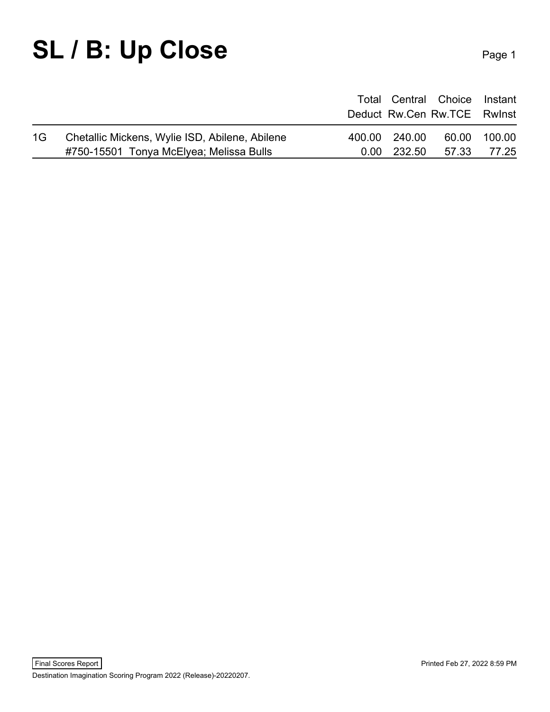### SL / B: Up Close Page 1

|    |                                                |               | Total Central Choice Instant<br>Deduct Rw.Cen Rw.TCE Rwinst |              |
|----|------------------------------------------------|---------------|-------------------------------------------------------------|--------------|
| 1G | Chetallic Mickens, Wylie ISD, Abilene, Abilene | 400.00 240.00 |                                                             | 60.00 100.00 |
|    | #750-15501 Tonya McElyea; Melissa Bulls        |               | 0.00 232.50 57.33 77.25                                     |              |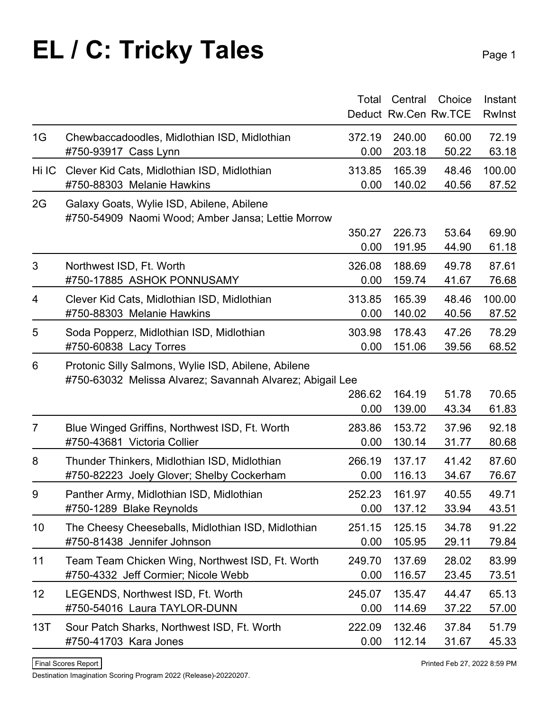### **EL / C: Tricky Tales** Page 1

|                |                                                                                                                  | Total  | Central | Choice               | Instant       |
|----------------|------------------------------------------------------------------------------------------------------------------|--------|---------|----------------------|---------------|
|                |                                                                                                                  |        |         | Deduct Rw.Cen Rw.TCE | <b>Rwinst</b> |
| 1G             | Chewbaccadoodles, Midlothian ISD, Midlothian                                                                     | 372.19 | 240.00  | 60.00                | 72.19         |
|                | #750-93917 Cass Lynn                                                                                             | 0.00   | 203.18  | 50.22                | 63.18         |
| Hi IC          | Clever Kid Cats, Midlothian ISD, Midlothian                                                                      | 313.85 | 165.39  | 48.46                | 100.00        |
|                | #750-88303 Melanie Hawkins                                                                                       | 0.00   | 140.02  | 40.56                | 87.52         |
| 2G             | Galaxy Goats, Wylie ISD, Abilene, Abilene<br>#750-54909 Naomi Wood; Amber Jansa; Lettie Morrow                   |        |         |                      |               |
|                |                                                                                                                  | 350.27 | 226.73  | 53.64                | 69.90         |
|                |                                                                                                                  | 0.00   | 191.95  | 44.90                | 61.18         |
| 3              | Northwest ISD, Ft. Worth                                                                                         | 326.08 | 188.69  | 49.78                | 87.61         |
|                | #750-17885 ASHOK PONNUSAMY                                                                                       | 0.00   | 159.74  | 41.67                | 76.68         |
| 4              | Clever Kid Cats, Midlothian ISD, Midlothian                                                                      | 313.85 | 165.39  | 48.46                | 100.00        |
|                | #750-88303 Melanie Hawkins                                                                                       | 0.00   | 140.02  | 40.56                | 87.52         |
| 5              | Soda Popperz, Midlothian ISD, Midlothian                                                                         | 303.98 | 178.43  | 47.26                | 78.29         |
|                | #750-60838 Lacy Torres                                                                                           | 0.00   | 151.06  | 39.56                | 68.52         |
| 6              | Protonic Silly Salmons, Wylie ISD, Abilene, Abilene<br>#750-63032 Melissa Alvarez; Savannah Alvarez; Abigail Lee |        |         |                      |               |
|                |                                                                                                                  | 286.62 | 164.19  | 51.78                | 70.65         |
|                |                                                                                                                  | 0.00   | 139.00  | 43.34                | 61.83         |
| $\overline{7}$ | Blue Winged Griffins, Northwest ISD, Ft. Worth                                                                   | 283.86 | 153.72  | 37.96                | 92.18         |
|                | #750-43681 Victoria Collier                                                                                      | 0.00   | 130.14  | 31.77                | 80.68         |
| 8              | Thunder Thinkers, Midlothian ISD, Midlothian                                                                     | 266.19 | 137.17  | 41.42                | 87.60         |
|                | #750-82223 Joely Glover; Shelby Cockerham                                                                        | 0.00   | 116.13  | 34.67                | 76.67         |
| 9              | Panther Army, Midlothian ISD, Midlothian                                                                         | 252.23 | 161.97  | 40.55                | 49.71         |
|                | #750-1289 Blake Reynolds                                                                                         | 0.00   | 137.12  | 33.94                | 43.51         |
| 10             | The Cheesy Cheeseballs, Midlothian ISD, Midlothian                                                               | 251.15 | 125.15  | 34.78                | 91.22         |
|                | #750-81438 Jennifer Johnson                                                                                      | 0.00   | 105.95  | 29.11                | 79.84         |
| 11             | Team Team Chicken Wing, Northwest ISD, Ft. Worth                                                                 | 249.70 | 137.69  | 28.02                | 83.99         |
|                | #750-4332 Jeff Cormier; Nicole Webb                                                                              | 0.00   | 116.57  | 23.45                | 73.51         |
| 12             | LEGENDS, Northwest ISD, Ft. Worth                                                                                | 245.07 | 135.47  | 44.47                | 65.13         |
|                | #750-54016 Laura TAYLOR-DUNN                                                                                     | 0.00   | 114.69  | 37.22                | 57.00         |
| 13T            | Sour Patch Sharks, Northwest ISD, Ft. Worth                                                                      | 222.09 | 132.46  | 37.84                | 51.79         |
|                | #750-41703 Kara Jones                                                                                            | 0.00   | 112.14  | 31.67                | 45.33         |
|                |                                                                                                                  |        |         |                      |               |

Destination Imagination Scoring Program 2022 (Release)-20220207.

Final Scores Report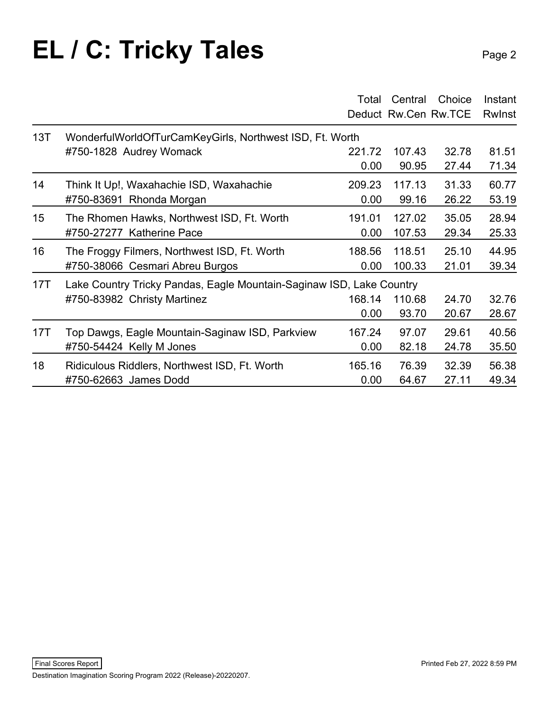#### **EL / C: Tricky Tales** Page 2

|                  |                                                                      | Total  | Central | Choice<br>Deduct Rw.Cen Rw.TCE | Instant<br><b>Rwinst</b> |
|------------------|----------------------------------------------------------------------|--------|---------|--------------------------------|--------------------------|
| 13T              | WonderfulWorldOfTurCamKeyGirls, Northwest ISD, Ft. Worth             |        |         |                                |                          |
|                  | #750-1828 Audrey Womack                                              | 221.72 | 107.43  | 32.78                          | 81.51                    |
|                  |                                                                      | 0.00   | 90.95   | 27.44                          | 71.34                    |
| 14               | Think It Up!, Waxahachie ISD, Waxahachie                             | 209.23 | 117.13  | 31.33                          | 60.77                    |
|                  | #750-83691 Rhonda Morgan                                             | 0.00   | 99.16   | 26.22                          | 53.19                    |
| 15 <sub>15</sub> | The Rhomen Hawks, Northwest ISD, Ft. Worth                           | 191.01 | 127.02  | 35.05                          | 28.94                    |
|                  | #750-27277 Katherine Pace                                            | 0.00   | 107.53  | 29.34                          | 25.33                    |
| 16               | The Froggy Filmers, Northwest ISD, Ft. Worth                         | 188.56 | 118.51  | 25.10                          | 44.95                    |
|                  | #750-38066 Cesmari Abreu Burgos                                      | 0.00   | 100.33  | 21.01                          | 39.34                    |
| 17T              | Lake Country Tricky Pandas, Eagle Mountain-Saginaw ISD, Lake Country |        |         |                                |                          |
|                  | #750-83982 Christy Martinez                                          | 168.14 | 110.68  | 24.70                          | 32.76                    |
|                  |                                                                      | 0.00   | 93.70   | 20.67                          | 28.67                    |
| 17T              | Top Dawgs, Eagle Mountain-Saginaw ISD, Parkview                      | 167.24 | 97.07   | 29.61                          | 40.56                    |
|                  | #750-54424 Kelly M Jones                                             | 0.00   | 82.18   | 24.78                          | 35.50                    |
| 18               | Ridiculous Riddlers, Northwest ISD, Ft. Worth                        | 165.16 | 76.39   | 32.39                          | 56.38                    |
|                  | #750-62663 James Dodd                                                | 0.00   | 64.67   | 27.11                          | 49.34                    |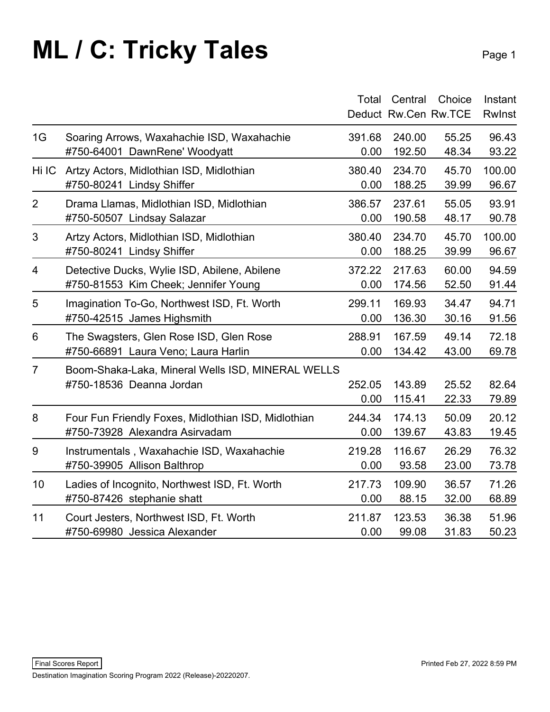### **ML / C: Tricky Tales** Page 1

|                |                                                     | Total  | Central | Choice<br>Deduct Rw.Cen Rw.TCE | Instant<br><b>RwInst</b> |
|----------------|-----------------------------------------------------|--------|---------|--------------------------------|--------------------------|
| 1G             | Soaring Arrows, Waxahachie ISD, Waxahachie          | 391.68 | 240.00  | 55.25                          | 96.43                    |
|                | #750-64001 DawnRene' Woodyatt                       | 0.00   | 192.50  | 48.34                          | 93.22                    |
| Hi IC          | Artzy Actors, Midlothian ISD, Midlothian            | 380.40 | 234.70  | 45.70                          | 100.00                   |
|                | #750-80241 Lindsy Shiffer                           | 0.00   | 188.25  | 39.99                          | 96.67                    |
| $\overline{2}$ | Drama Llamas, Midlothian ISD, Midlothian            | 386.57 | 237.61  | 55.05                          | 93.91                    |
|                | #750-50507 Lindsay Salazar                          | 0.00   | 190.58  | 48.17                          | 90.78                    |
| 3              | Artzy Actors, Midlothian ISD, Midlothian            | 380.40 | 234.70  | 45.70                          | 100.00                   |
|                | #750-80241 Lindsy Shiffer                           | 0.00   | 188.25  | 39.99                          | 96.67                    |
| 4              | Detective Ducks, Wylie ISD, Abilene, Abilene        | 372.22 | 217.63  | 60.00                          | 94.59                    |
|                | #750-81553 Kim Cheek; Jennifer Young                | 0.00   | 174.56  | 52.50                          | 91.44                    |
| 5              | Imagination To-Go, Northwest ISD, Ft. Worth         | 299.11 | 169.93  | 34.47                          | 94.71                    |
|                | #750-42515 James Highsmith                          | 0.00   | 136.30  | 30.16                          | 91.56                    |
| 6              | The Swagsters, Glen Rose ISD, Glen Rose             | 288.91 | 167.59  | 49.14                          | 72.18                    |
|                | #750-66891 Laura Veno; Laura Harlin                 | 0.00   | 134.42  | 43.00                          | 69.78                    |
| $\overline{7}$ | Boom-Shaka-Laka, Mineral Wells ISD, MINERAL WELLS   | 252.05 | 143.89  | 25.52                          | 82.64                    |
|                | #750-18536 Deanna Jordan                            | 0.00   | 115.41  | 22.33                          | 79.89                    |
| 8              | Four Fun Friendly Foxes, Midlothian ISD, Midlothian | 244.34 | 174.13  | 50.09                          | 20.12                    |
|                | #750-73928 Alexandra Asirvadam                      | 0.00   | 139.67  | 43.83                          | 19.45                    |
| 9              | Instrumentals, Waxahachie ISD, Waxahachie           | 219.28 | 116.67  | 26.29                          | 76.32                    |
|                | #750-39905 Allison Balthrop                         | 0.00   | 93.58   | 23.00                          | 73.78                    |
| 10             | Ladies of Incognito, Northwest ISD, Ft. Worth       | 217.73 | 109.90  | 36.57                          | 71.26                    |
|                | #750-87426 stephanie shatt                          | 0.00   | 88.15   | 32.00                          | 68.89                    |
| 11             | Court Jesters, Northwest ISD, Ft. Worth             | 211.87 | 123.53  | 36.38                          | 51.96                    |
|                | #750-69980 Jessica Alexander                        | 0.00   | 99.08   | 31.83                          | 50.23                    |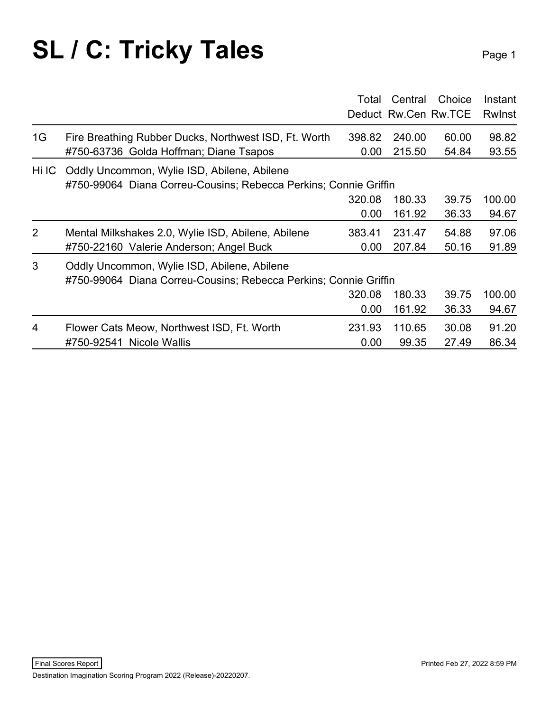### **SL / C: Tricky Tales** Page 1

|                |                                                                  | Total  | Central | Choice               | Instant |  |  |
|----------------|------------------------------------------------------------------|--------|---------|----------------------|---------|--|--|
|                |                                                                  |        |         | Deduct Rw.Cen Rw.TCE | Rwinst  |  |  |
| 1G             | Fire Breathing Rubber Ducks, Northwest ISD, Ft. Worth            | 398.82 | 240.00  | 60.00                | 98.82   |  |  |
|                | #750-63736 Golda Hoffman; Diane Tsapos                           | 0.00   | 215.50  | 54.84                | 93.55   |  |  |
| Hi IC          | Oddly Uncommon, Wylie ISD, Abilene, Abilene                      |        |         |                      |         |  |  |
|                | #750-99064 Diana Correu-Cousins; Rebecca Perkins; Connie Griffin |        |         |                      |         |  |  |
|                |                                                                  | 320.08 | 180.33  | 39.75                | 100.00  |  |  |
|                |                                                                  | 0.00   | 161.92  | 36.33                | 94.67   |  |  |
| 2              | Mental Milkshakes 2.0, Wylie ISD, Abilene, Abilene               | 383.41 | 231.47  | 54.88                | 97.06   |  |  |
|                | #750-22160 Valerie Anderson; Angel Buck                          | 0.00   | 207.84  | 50.16                | 91.89   |  |  |
| 3              | Oddly Uncommon, Wylie ISD, Abilene, Abilene                      |        |         |                      |         |  |  |
|                | #750-99064 Diana Correu-Cousins; Rebecca Perkins; Connie Griffin |        |         |                      |         |  |  |
|                |                                                                  | 320.08 | 180.33  | 39.75                | 100.00  |  |  |
|                |                                                                  | 0.00   | 161.92  | 36.33                | 94.67   |  |  |
| $\overline{4}$ | Flower Cats Meow, Northwest ISD, Ft. Worth                       | 231.93 | 110.65  | 30.08                | 91.20   |  |  |
|                | #750-92541 Nicole Wallis                                         | 0.00   | 99.35   | 27.49                | 86.34   |  |  |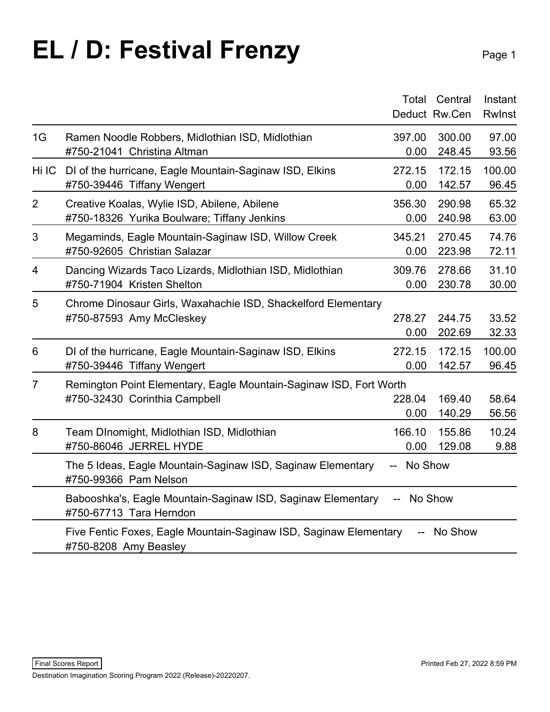## **EL / D: Festival Frenzy** Page 1

|       |                                                                                            | Total          | Central       | Instant |
|-------|--------------------------------------------------------------------------------------------|----------------|---------------|---------|
|       |                                                                                            |                | Deduct Rw.Cen | Rwlnst  |
| 1G    | Ramen Noodle Robbers, Midlothian ISD, Midlothian                                           | 397.00         | 300.00        | 97.00   |
|       | #750-21041 Christina Altman                                                                | 0.00           | 248.45        | 93.56   |
| Hi IC | DI of the hurricane, Eagle Mountain-Saginaw ISD, Elkins                                    | 272.15         | 172.15        | 100.00  |
|       | #750-39446 Tiffany Wengert                                                                 | 0.00           | 142.57        | 96.45   |
| 2     | Creative Koalas, Wylie ISD, Abilene, Abilene                                               | 356.30         | 290.98        | 65.32   |
|       | #750-18326 Yurika Boulware; Tiffany Jenkins                                                | 0.00           | 240.98        | 63.00   |
| 3     | Megaminds, Eagle Mountain-Saginaw ISD, Willow Creek                                        | 345.21         | 270.45        | 74.76   |
|       | #750-92605 Christian Salazar                                                               | 0.00           | 223.98        | 72.11   |
| 4     | Dancing Wizards Taco Lizards, Midlothian ISD, Midlothian                                   | 309.76         | 278.66        | 31.10   |
|       | #750-71904 Kristen Shelton                                                                 | 0.00           | 230.78        | 30.00   |
| 5     | Chrome Dinosaur Girls, Waxahachie ISD, Shackelford Elementary                              |                |               |         |
|       | #750-87593 Amy McCleskey                                                                   | 278.27         | 244.75        | 33.52   |
|       |                                                                                            | 0.00           | 202.69        | 32.33   |
| 6     | DI of the hurricane, Eagle Mountain-Saginaw ISD, Elkins                                    | 272.15         | 172.15        | 100.00  |
|       | #750-39446 Tiffany Wengert                                                                 | 0.00           | 142.57        | 96.45   |
| 7     | Remington Point Elementary, Eagle Mountain-Saginaw ISD, Fort Worth                         |                |               |         |
|       | #750-32430 Corinthia Campbell                                                              | 228.04         | 169.40        | 58.64   |
|       |                                                                                            | 0.00           | 140.29        | 56.56   |
| 8     | Team DInomight, Midlothian ISD, Midlothian                                                 | 166.10         | 155.86        | 10.24   |
|       | #750-86046 JERREL HYDE                                                                     | 0.00           | 129.08        | 9.88    |
|       | The 5 Ideas, Eagle Mountain-Saginaw ISD, Saginaw Elementary<br>#750-99366 Pam Nelson       | No Show<br>$-$ |               |         |
|       | Babooshka's, Eagle Mountain-Saginaw ISD, Saginaw Elementary<br>#750-67713 Tara Herndon     |                | No Show       |         |
|       | Five Fentic Foxes, Eagle Mountain-Saginaw ISD, Saginaw Elementary<br>#750-8208 Amy Beasley |                | No Show       |         |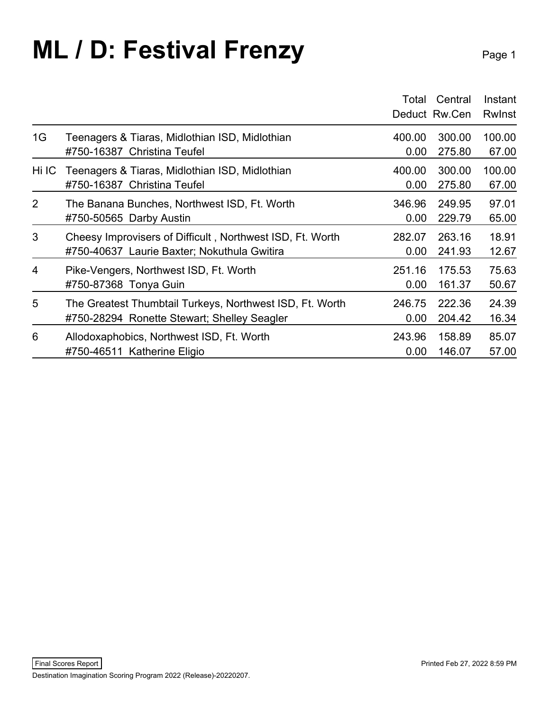### **ML / D: Festival Frenzy** Page 1

|                |                                                           | Total  | Central<br>Deduct Rw.Cen | Instant<br><b>Rwinst</b> |
|----------------|-----------------------------------------------------------|--------|--------------------------|--------------------------|
| 1G             | Teenagers & Tiaras, Midlothian ISD, Midlothian            | 400.00 | 300.00                   | 100.00                   |
|                | #750-16387 Christina Teufel                               | 0.00   | 275.80                   | 67.00                    |
| Hi IC I        | Teenagers & Tiaras, Midlothian ISD, Midlothian            | 400.00 | 300.00                   | 100.00                   |
|                | #750-16387 Christina Teufel                               | 0.00   | 275.80                   | 67.00                    |
| $\overline{2}$ | The Banana Bunches, Northwest ISD, Ft. Worth              | 346.96 | 249.95                   | 97.01                    |
|                | #750-50565 Darby Austin                                   | 0.00   | 229.79                   | 65.00                    |
| 3              | Cheesy Improvisers of Difficult, Northwest ISD, Ft. Worth | 282.07 | 263.16                   | 18.91                    |
|                | #750-40637 Laurie Baxter; Nokuthula Gwitira               | 0.00   | 241.93                   | 12.67                    |
| 4              | Pike-Vengers, Northwest ISD, Ft. Worth                    | 251.16 | 175.53                   | 75.63                    |
|                | #750-87368 Tonya Guin                                     | 0.00   | 161.37                   | 50.67                    |
| 5              | The Greatest Thumbtail Turkeys, Northwest ISD, Ft. Worth  | 246.75 | 222.36                   | 24.39                    |
|                | #750-28294 Ronette Stewart; Shelley Seagler               | 0.00   | 204.42                   | 16.34                    |
| 6              | Allodoxaphobics, Northwest ISD, Ft. Worth                 | 243.96 | 158.89                   | 85.07                    |
|                | #750-46511 Katherine Eligio                               | 0.00   | 146.07                   | 57.00                    |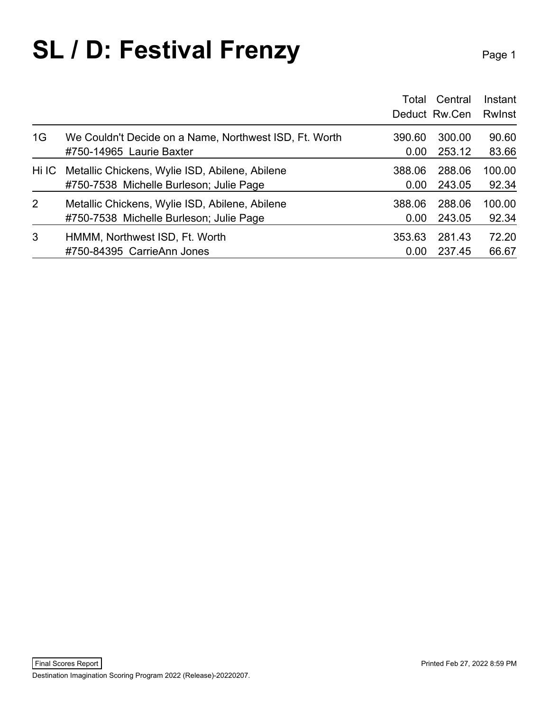### **SL / D: Festival Frenzy** Page 1

|                |                                                        | Total  | Central<br>Deduct Rw.Cen | Instant<br><b>Rwinst</b> |
|----------------|--------------------------------------------------------|--------|--------------------------|--------------------------|
| 1G             | We Couldn't Decide on a Name, Northwest ISD, Ft. Worth | 390.60 | 300.00                   | 90.60                    |
|                | #750-14965 Laurie Baxter                               | 0.00   | 253.12                   | 83.66                    |
| Hi IC          | Metallic Chickens, Wylie ISD, Abilene, Abilene         | 388.06 | 288.06                   | 100.00                   |
|                | #750-7538 Michelle Burleson; Julie Page                | 0.00   | 243.05                   | 92.34                    |
| $\overline{2}$ | Metallic Chickens, Wylie ISD, Abilene, Abilene         | 388.06 | 288.06                   | 100.00                   |
|                | #750-7538 Michelle Burleson; Julie Page                | 0.00   | 243.05                   | 92.34                    |
| 3              | HMMM, Northwest ISD, Ft. Worth                         | 353.63 | 281.43                   | 72.20                    |
|                | #750-84395 CarrieAnn Jones                             | 0.00   | 237.45                   | 66.67                    |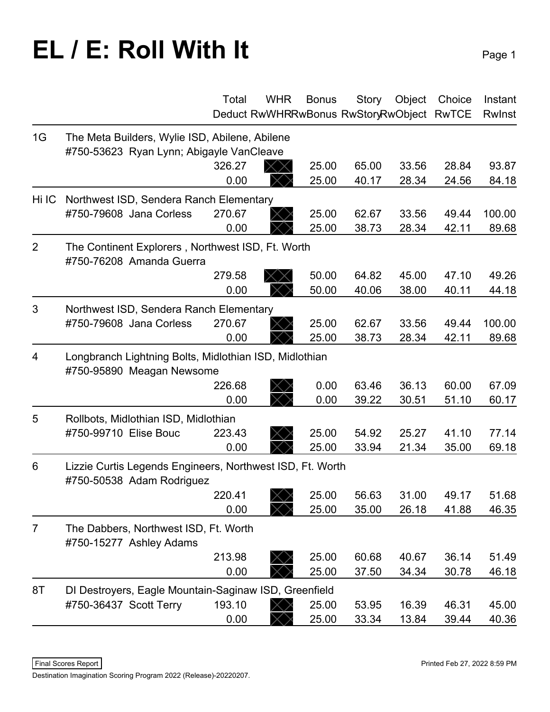# **EL / E: Roll With It**

|                |                                                                                        | Total  | <b>WHR</b>                                | <b>Bonus</b> | <b>Story</b> | Object | Choice | Instant |
|----------------|----------------------------------------------------------------------------------------|--------|-------------------------------------------|--------------|--------------|--------|--------|---------|
|                |                                                                                        |        | Deduct RwWHRRwBonus RwStoryRwObject RwTCE |              |              |        |        | Rwinst  |
| 1G             | The Meta Builders, Wylie ISD, Abilene, Abilene                                         |        |                                           |              |              |        |        |         |
|                | #750-53623 Ryan Lynn; Abigayle VanCleave                                               |        |                                           |              |              |        |        |         |
|                |                                                                                        | 326.27 | $\times\times$                            | 25.00        | 65.00        | 33.56  | 28.84  | 93.87   |
|                |                                                                                        | 0.00   |                                           | 25.00        | 40.17        | 28.34  | 24.56  | 84.18   |
| Hi IC          | Northwest ISD, Sendera Ranch Elementary                                                |        |                                           |              |              |        |        |         |
|                | #750-79608 Jana Corless                                                                | 270.67 |                                           | 25.00        | 62.67        | 33.56  | 49.44  | 100.00  |
|                |                                                                                        | 0.00   |                                           | 25.00        | 38.73        | 28.34  | 42.11  | 89.68   |
| $\overline{2}$ | The Continent Explorers, Northwest ISD, Ft. Worth<br>#750-76208 Amanda Guerra          |        |                                           |              |              |        |        |         |
|                |                                                                                        | 279.58 |                                           | 50.00        | 64.82        | 45.00  | 47.10  | 49.26   |
|                |                                                                                        | 0.00   |                                           | 50.00        | 40.06        | 38.00  | 40.11  | 44.18   |
| 3              | Northwest ISD, Sendera Ranch Elementary                                                |        |                                           |              |              |        |        |         |
|                | #750-79608 Jana Corless                                                                | 270.67 |                                           | 25.00        | 62.67        | 33.56  | 49.44  | 100.00  |
|                |                                                                                        | 0.00   |                                           | 25.00        | 38.73        | 28.34  | 42.11  | 89.68   |
| 4              | Longbranch Lightning Bolts, Midlothian ISD, Midlothian<br>#750-95890 Meagan Newsome    |        |                                           |              |              |        |        |         |
|                |                                                                                        | 226.68 |                                           | 0.00         | 63.46        | 36.13  | 60.00  | 67.09   |
|                |                                                                                        | 0.00   |                                           | 0.00         | 39.22        | 30.51  | 51.10  | 60.17   |
| 5              | Rollbots, Midlothian ISD, Midlothian                                                   |        |                                           |              |              |        |        |         |
|                | #750-99710 Elise Bouc                                                                  | 223.43 |                                           | 25.00        | 54.92        | 25.27  | 41.10  | 77.14   |
|                |                                                                                        | 0.00   |                                           | 25.00        | 33.94        | 21.34  | 35.00  | 69.18   |
| 6              | Lizzie Curtis Legends Engineers, Northwest ISD, Ft. Worth<br>#750-50538 Adam Rodriguez |        |                                           |              |              |        |        |         |
|                |                                                                                        | 220.41 | ノ\ハ                                       | 25.00        | 56.63        | 31.00  | 49.17  | 51.68   |
|                |                                                                                        | 0.00   |                                           | 25.00        | 35.00        | 26.18  | 41.88  | 46.35   |
| $\overline{7}$ | The Dabbers, Northwest ISD, Ft. Worth<br>#750-15277 Ashley Adams                       |        |                                           |              |              |        |        |         |
|                |                                                                                        | 213.98 |                                           | 25.00        | 60.68        | 40.67  | 36.14  | 51.49   |
|                |                                                                                        | 0.00   |                                           | 25.00        | 37.50        | 34.34  | 30.78  | 46.18   |
| 8T             | DI Destroyers, Eagle Mountain-Saginaw ISD, Greenfield                                  |        |                                           |              |              |        |        |         |
|                | #750-36437 Scott Terry                                                                 | 193.10 |                                           | 25.00        | 53.95        | 16.39  | 46.31  | 45.00   |
|                |                                                                                        | 0.00   |                                           | 25.00        | 33.34        | 13.84  | 39.44  | 40.36   |

Destination Imagination Scoring Program 2022 (Release)-20220207.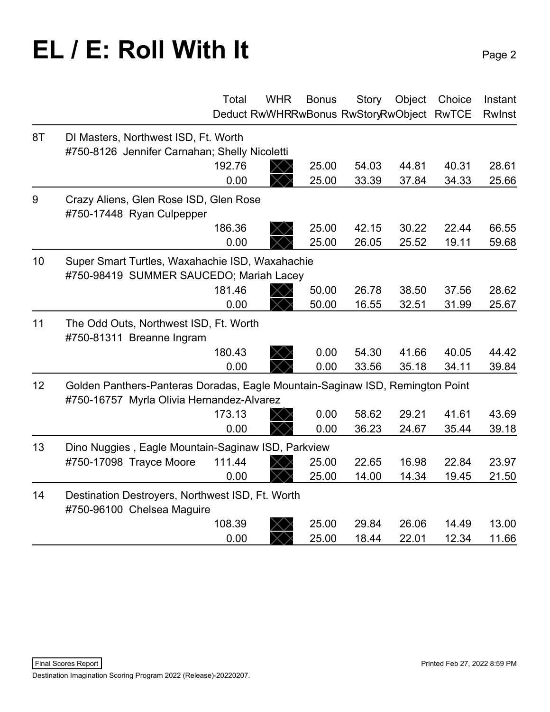# **EL / E: Roll With It** Page 2

|    |                                                                                                                            | Total  | <b>WHR</b> | <b>Bonus</b> | <b>Story</b><br>Deduct RwWHRRwBonus RwStoryRwObject RwTCE | Object | Choice | Instant<br>Rwlnst |
|----|----------------------------------------------------------------------------------------------------------------------------|--------|------------|--------------|-----------------------------------------------------------|--------|--------|-------------------|
| 8T | DI Masters, Northwest ISD, Ft. Worth                                                                                       |        |            |              |                                                           |        |        |                   |
|    | #750-8126 Jennifer Carnahan; Shelly Nicoletti                                                                              |        |            |              |                                                           |        |        |                   |
|    |                                                                                                                            | 192.76 |            | 25.00        | 54.03                                                     | 44.81  | 40.31  | 28.61             |
|    |                                                                                                                            | 0.00   |            | 25.00        | 33.39                                                     | 37.84  | 34.33  | 25.66             |
| 9  | Crazy Aliens, Glen Rose ISD, Glen Rose<br>#750-17448 Ryan Culpepper                                                        |        |            |              |                                                           |        |        |                   |
|    |                                                                                                                            | 186.36 |            | 25.00        | 42.15                                                     | 30.22  | 22.44  | 66.55             |
|    |                                                                                                                            | 0.00   |            | 25.00        | 26.05                                                     | 25.52  | 19.11  | 59.68             |
| 10 | Super Smart Turtles, Waxahachie ISD, Waxahachie<br>#750-98419 SUMMER SAUCEDO; Mariah Lacey                                 |        |            |              |                                                           |        |        |                   |
|    |                                                                                                                            | 181.46 |            | 50.00        | 26.78                                                     | 38.50  | 37.56  | 28.62             |
|    |                                                                                                                            | 0.00   |            | 50.00        | 16.55                                                     | 32.51  | 31.99  | 25.67             |
| 11 | The Odd Outs, Northwest ISD, Ft. Worth<br>#750-81311 Breanne Ingram                                                        |        |            |              |                                                           |        |        |                   |
|    |                                                                                                                            | 180.43 |            | 0.00         | 54.30                                                     | 41.66  | 40.05  | 44.42             |
|    |                                                                                                                            | 0.00   |            | 0.00         | 33.56                                                     | 35.18  | 34.11  | 39.84             |
| 12 | Golden Panthers-Panteras Doradas, Eagle Mountain-Saginaw ISD, Remington Point<br>#750-16757 Myrla Olivia Hernandez-Alvarez |        |            |              |                                                           |        |        |                   |
|    |                                                                                                                            | 173.13 |            | 0.00         | 58.62                                                     | 29.21  | 41.61  | 43.69             |
|    |                                                                                                                            | 0.00   |            | 0.00         | 36.23                                                     | 24.67  | 35.44  | 39.18             |
| 13 | Dino Nuggies, Eagle Mountain-Saginaw ISD, Parkview                                                                         |        |            |              |                                                           |        |        |                   |
|    | #750-17098 Trayce Moore                                                                                                    | 111.44 |            | 25.00        | 22.65                                                     | 16.98  | 22.84  | 23.97             |
|    |                                                                                                                            | 0.00   |            | 25.00        | 14.00                                                     | 14.34  | 19.45  | 21.50             |
| 14 | Destination Destroyers, Northwest ISD, Ft. Worth<br>#750-96100 Chelsea Maguire                                             |        |            |              |                                                           |        |        |                   |
|    |                                                                                                                            | 108.39 |            | 25.00        | 29.84                                                     | 26.06  | 14.49  | 13.00             |
|    |                                                                                                                            | 0.00   |            | 25.00        | 18.44                                                     | 22.01  | 12.34  | 11.66             |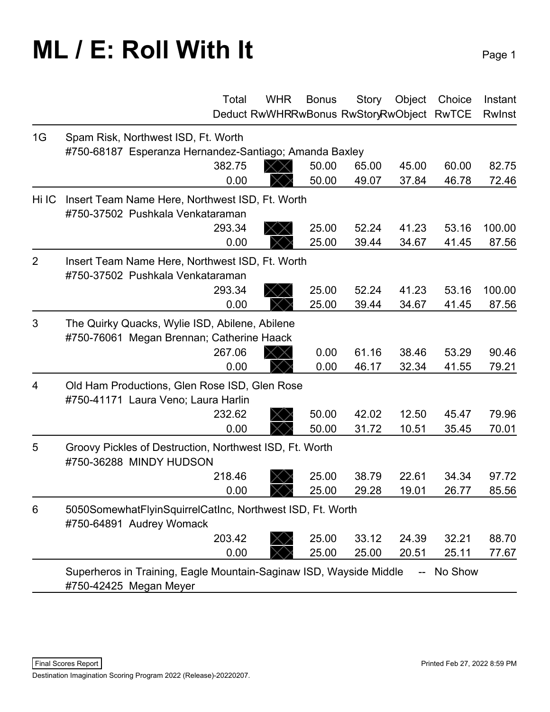## **ML / E: Roll With It** Page 1

|                | Total                                                                                         | <b>WHR</b><br>Deduct RwWHRRwBonus RwStoryRwObject RwTCE | <b>Bonus</b> | Story | Object | Choice  | Instant<br><b>Rwinst</b> |
|----------------|-----------------------------------------------------------------------------------------------|---------------------------------------------------------|--------------|-------|--------|---------|--------------------------|
| 1G             | Spam Risk, Northwest ISD, Ft. Worth<br>#750-68187 Esperanza Hernandez-Santiago; Amanda Baxley |                                                         |              |       |        |         |                          |
|                | 382.75                                                                                        | $\times$                                                | 50.00        | 65.00 | 45.00  | 60.00   | 82.75                    |
|                | 0.00                                                                                          |                                                         | 50.00        | 49.07 | 37.84  | 46.78   | 72.46                    |
| Hi IC          | Insert Team Name Here, Northwest ISD, Ft. Worth<br>#750-37502 Pushkala Venkataraman           |                                                         |              |       |        |         |                          |
|                | 293.34                                                                                        |                                                         | 25.00        | 52.24 | 41.23  | 53.16   | 100.00                   |
|                | 0.00                                                                                          |                                                         | 25.00        | 39.44 | 34.67  | 41.45   | 87.56                    |
| $\overline{2}$ | Insert Team Name Here, Northwest ISD, Ft. Worth<br>#750-37502 Pushkala Venkataraman           |                                                         |              |       |        |         |                          |
|                | 293.34                                                                                        |                                                         | 25.00        | 52.24 | 41.23  | 53.16   | 100.00                   |
|                | 0.00                                                                                          |                                                         | 25.00        | 39.44 | 34.67  | 41.45   | 87.56                    |
| 3              | The Quirky Quacks, Wylie ISD, Abilene, Abilene<br>#750-76061 Megan Brennan; Catherine Haack   |                                                         |              |       |        |         |                          |
|                | 267.06                                                                                        | $\times$                                                | 0.00         | 61.16 | 38.46  | 53.29   | 90.46                    |
|                | 0.00                                                                                          |                                                         | 0.00         | 46.17 | 32.34  | 41.55   | 79.21                    |
| $\overline{4}$ | Old Ham Productions, Glen Rose ISD, Glen Rose<br>#750-41171 Laura Veno; Laura Harlin          |                                                         |              |       |        |         |                          |
|                | 232.62                                                                                        |                                                         | 50.00        | 42.02 | 12.50  | 45.47   | 79.96                    |
|                | 0.00                                                                                          |                                                         | 50.00        | 31.72 | 10.51  | 35.45   | 70.01                    |
| 5              | Groovy Pickles of Destruction, Northwest ISD, Ft. Worth<br>#750-36288 MINDY HUDSON            |                                                         |              |       |        |         |                          |
|                | 218.46                                                                                        |                                                         | 25.00        | 38.79 | 22.61  | 34.34   | 97.72                    |
|                | 0.00                                                                                          |                                                         | 25.00        | 29.28 | 19.01  | 26.77   | 85.56                    |
| 6              | 5050SomewhatFlyinSquirrelCatInc, Northwest ISD, Ft. Worth<br>#750-64891 Audrey Womack         |                                                         |              |       |        |         |                          |
|                | 203.42                                                                                        |                                                         | 25.00        | 33.12 | 24.39  | 32.21   | 88.70                    |
|                | 0.00                                                                                          |                                                         | 25.00        | 25.00 | 20.51  | 25.11   | 77.67                    |
|                | Superheros in Training, Eagle Mountain-Saginaw ISD, Wayside Middle<br>#750-42425 Megan Meyer  |                                                         |              |       |        | No Show |                          |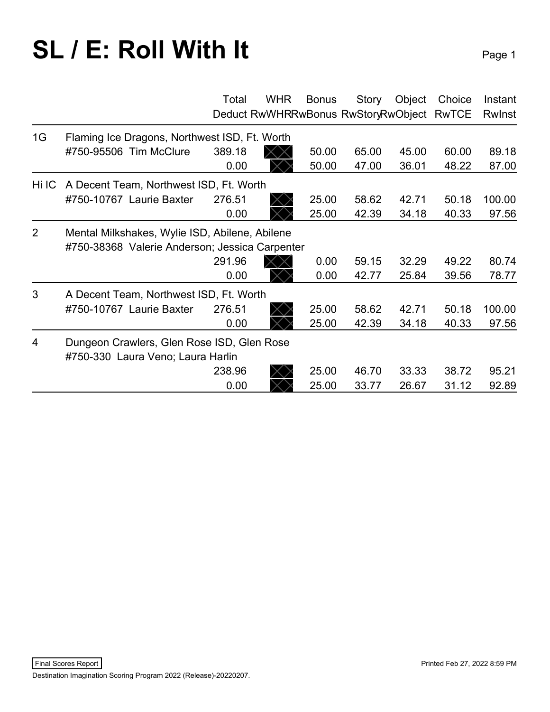# **SL / E: Roll With It** Page 1

|                |                                                                                                  | Total  | <b>WHR</b> | <b>Bonus</b> | Story<br>Deduct RwWHRRwBonus RwStoryRwObject RwTCE | Object | Choice | Instant<br><b>Rwinst</b> |
|----------------|--------------------------------------------------------------------------------------------------|--------|------------|--------------|----------------------------------------------------|--------|--------|--------------------------|
| 1G             | Flaming Ice Dragons, Northwest ISD, Ft. Worth                                                    |        |            |              |                                                    |        |        |                          |
|                | #750-95506 Tim McClure                                                                           | 389.18 |            | 50.00        | 65.00                                              | 45.00  | 60.00  | 89.18                    |
|                |                                                                                                  | 0.00   |            | 50.00        | 47.00                                              | 36.01  | 48.22  | 87.00                    |
| Hi IC          | A Decent Team, Northwest ISD, Ft. Worth                                                          |        |            |              |                                                    |        |        |                          |
|                | #750-10767 Laurie Baxter                                                                         | 276.51 |            | 25.00        | 58.62                                              | 42.71  | 50.18  | 100.00                   |
|                |                                                                                                  | 0.00   |            | 25.00        | 42.39                                              | 34.18  | 40.33  | 97.56                    |
| 2              | Mental Milkshakes, Wylie ISD, Abilene, Abilene<br>#750-38368 Valerie Anderson; Jessica Carpenter |        |            |              |                                                    |        |        |                          |
|                |                                                                                                  | 291.96 |            | 0.00         | 59.15                                              | 32.29  | 49.22  | 80.74                    |
|                |                                                                                                  | 0.00   |            | 0.00         | 42.77                                              | 25.84  | 39.56  | 78.77                    |
| 3              | A Decent Team, Northwest ISD, Ft. Worth                                                          |        |            |              |                                                    |        |        |                          |
|                | #750-10767 Laurie Baxter                                                                         | 276.51 |            | 25.00        | 58.62                                              | 42.71  | 50.18  | 100.00                   |
|                |                                                                                                  | 0.00   |            | 25.00        | 42.39                                              | 34.18  | 40.33  | 97.56                    |
| $\overline{4}$ | Dungeon Crawlers, Glen Rose ISD, Glen Rose<br>#750-330 Laura Veno; Laura Harlin                  |        |            |              |                                                    |        |        |                          |
|                |                                                                                                  | 238.96 |            | 25.00        | 46.70                                              | 33.33  | 38.72  | 95.21                    |
|                |                                                                                                  | 0.00   |            | 25.00        | 33.77                                              | 26.67  | 31.12  | 92.89                    |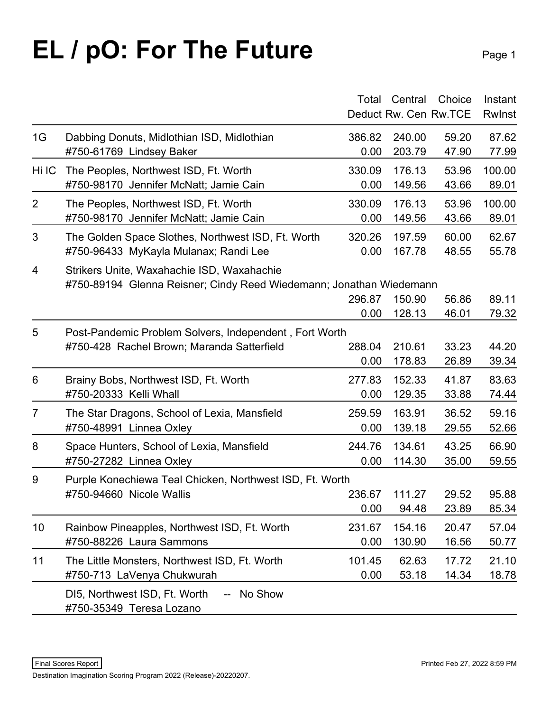# **EL / pO: For The Future** Page 1

|                |                                                                         | Total  | Central<br>Deduct Rw. Cen Rw. TCE | Choice | Instant<br><b>Rwinst</b> |
|----------------|-------------------------------------------------------------------------|--------|-----------------------------------|--------|--------------------------|
| 1G             | Dabbing Donuts, Midlothian ISD, Midlothian                              | 386.82 | 240.00                            | 59.20  | 87.62                    |
|                | #750-61769 Lindsey Baker                                                | 0.00   | 203.79                            | 47.90  | 77.99                    |
| Hi IC          | The Peoples, Northwest ISD, Ft. Worth                                   | 330.09 | 176.13                            | 53.96  | 100.00                   |
|                | #750-98170 Jennifer McNatt; Jamie Cain                                  | 0.00   | 149.56                            | 43.66  | 89.01                    |
| $\overline{2}$ | The Peoples, Northwest ISD, Ft. Worth                                   | 330.09 | 176.13                            | 53.96  | 100.00                   |
|                | #750-98170 Jennifer McNatt; Jamie Cain                                  | 0.00   | 149.56                            | 43.66  | 89.01                    |
| 3              | The Golden Space Slothes, Northwest ISD, Ft. Worth                      | 320.26 | 197.59                            | 60.00  | 62.67                    |
|                | #750-96433 MyKayla Mulanax; Randi Lee                                   | 0.00   | 167.78                            | 48.55  | 55.78                    |
| 4              | Strikers Unite, Waxahachie ISD, Waxahachie                              | 296.87 | 150.90                            | 56.86  | 89.11                    |
|                | #750-89194 Glenna Reisner; Cindy Reed Wiedemann; Jonathan Wiedemann     | 0.00   | 128.13                            | 46.01  | 79.32                    |
| 5              | Post-Pandemic Problem Solvers, Independent, Fort Worth                  | 288.04 | 210.61                            | 33.23  | 44.20                    |
|                | #750-428 Rachel Brown; Maranda Satterfield                              | 0.00   | 178.83                            | 26.89  | 39.34                    |
| 6              | Brainy Bobs, Northwest ISD, Ft. Worth                                   | 277.83 | 152.33                            | 41.87  | 83.63                    |
|                | #750-20333 Kelli Whall                                                  | 0.00   | 129.35                            | 33.88  | 74.44                    |
| $\overline{7}$ | The Star Dragons, School of Lexia, Mansfield                            | 259.59 | 163.91                            | 36.52  | 59.16                    |
|                | #750-48991 Linnea Oxley                                                 | 0.00   | 139.18                            | 29.55  | 52.66                    |
| 8              | Space Hunters, School of Lexia, Mansfield                               | 244.76 | 134.61                            | 43.25  | 66.90                    |
|                | #750-27282 Linnea Oxley                                                 | 0.00   | 114.30                            | 35.00  | 59.55                    |
| 9              | Purple Konechiewa Teal Chicken, Northwest ISD, Ft. Worth                | 236.67 | 111.27                            | 29.52  | 95.88                    |
|                | #750-94660 Nicole Wallis                                                | 0.00   | 94.48                             | 23.89  | 85.34                    |
| 10             | Rainbow Pineapples, Northwest ISD, Ft. Worth                            | 231.67 | 154.16                            | 20.47  | 57.04                    |
|                | #750-88226 Laura Sammons                                                | 0.00   | 130.90                            | 16.56  | 50.77                    |
| 11             | The Little Monsters, Northwest ISD, Ft. Worth                           | 101.45 | 62.63                             | 17.72  | 21.10                    |
|                | #750-713 LaVenya Chukwurah                                              | 0.00   | 53.18                             | 14.34  | 18.78                    |
|                | DI5, Northwest ISD, Ft. Worth<br>-- No Show<br>#750-35349 Teresa Lozano |        |                                   |        |                          |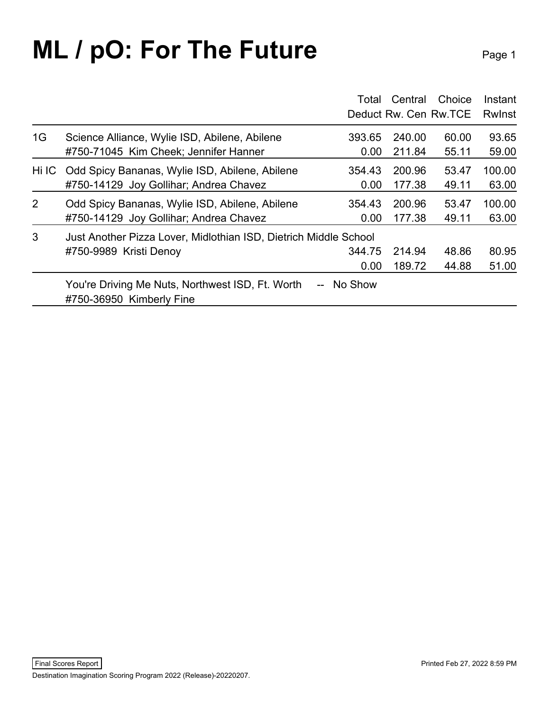## **ML / pO: For The Future** Page 1

|       |                                                                              | Total      | Central<br>Deduct Rw. Cen Rw. TCE | Choice | Instant<br><b>Rwinst</b> |
|-------|------------------------------------------------------------------------------|------------|-----------------------------------|--------|--------------------------|
| 1G    | Science Alliance, Wylie ISD, Abilene, Abilene                                | 393.65     | 240.00                            | 60.00  | 93.65                    |
|       | #750-71045 Kim Cheek; Jennifer Hanner                                        | 0.00       | 211.84                            | 55.11  | 59.00                    |
| Hi IC | Odd Spicy Bananas, Wylie ISD, Abilene, Abilene                               | 354.43     | 200.96                            | 53.47  | 100.00                   |
|       | #750-14129 Joy Gollihar; Andrea Chavez                                       | 0.00       | 177.38                            | 49.11  | 63.00                    |
| 2     | Odd Spicy Bananas, Wylie ISD, Abilene, Abilene                               | 354.43     | 200.96                            | 53.47  | 100.00                   |
|       | #750-14129 Joy Gollihar; Andrea Chavez                                       | 0.00       | 177.38                            | 49.11  | 63.00                    |
| 3     | Just Another Pizza Lover, Midlothian ISD, Dietrich Middle School             | 344.75     | 214.94                            | 48.86  | 80.95                    |
|       | #750-9989 Kristi Denoy                                                       | 0.00       | 189.72                            | 44.88  | 51.00                    |
|       | You're Driving Me Nuts, Northwest ISD, Ft. Worth<br>#750-36950 Kimberly Fine | -- No Show |                                   |        |                          |